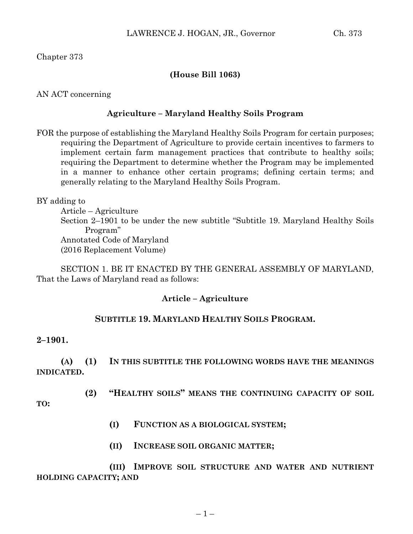Chapter 373

# **(House Bill 1063)**

AN ACT concerning

## **Agriculture – Maryland Healthy Soils Program**

FOR the purpose of establishing the Maryland Healthy Soils Program for certain purposes; requiring the Department of Agriculture to provide certain incentives to farmers to implement certain farm management practices that contribute to healthy soils; requiring the Department to determine whether the Program may be implemented in a manner to enhance other certain programs; defining certain terms; and generally relating to the Maryland Healthy Soils Program.

BY adding to

Article – Agriculture Section 2–1901 to be under the new subtitle "Subtitle 19. Maryland Healthy Soils Program" Annotated Code of Maryland (2016 Replacement Volume)

SECTION 1. BE IT ENACTED BY THE GENERAL ASSEMBLY OF MARYLAND, That the Laws of Maryland read as follows:

## **Article – Agriculture**

## **SUBTITLE 19. MARYLAND HEALTHY SOILS PROGRAM.**

## **2–1901.**

**(A) (1) IN THIS SUBTITLE THE FOLLOWING WORDS HAVE THE MEANINGS INDICATED.**

**(2) "HEALTHY SOILS" MEANS THE CONTINUING CAPACITY OF SOIL** 

**TO:**

- **(I) FUNCTION AS A BIOLOGICAL SYSTEM;**
- **(II) INCREASE SOIL ORGANIC MATTER;**

**(III) IMPROVE SOIL STRUCTURE AND WATER AND NUTRIENT HOLDING CAPACITY; AND**